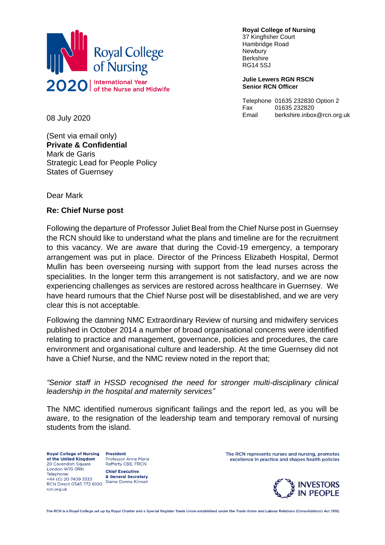

**Royal College of Nursing** 37 Kingfisher Court Hambridge Road Newbury **Berkshire** RG14 5SJ

**Julie Lewers RGN RSCN Senior RCN Officer**

Telephone 01635 232830 Option 2 Fax 01635 232820 Email berkshire.inbox@rcn.org.uk

08 July 2020

(Sent via email only) **Private & Confidential** Mark de Garis Strategic Lead for People Policy States of Guernsey

Dear Mark

## **Re: Chief Nurse post**

Following the departure of Professor Juliet Beal from the Chief Nurse post in Guernsey the RCN should like to understand what the plans and timeline are for the recruitment to this vacancy. We are aware that during the Covid-19 emergency, a temporary arrangement was put in place. Director of the Princess Elizabeth Hospital, Dermot Mullin has been overseeing nursing with support from the lead nurses across the specialities. In the longer term this arrangement is not satisfactory, and we are now experiencing challenges as services are restored across healthcare in Guernsey. We have heard rumours that the Chief Nurse post will be disestablished, and we are very clear this is not acceptable.

Following the damning NMC Extraordinary Review of nursing and midwifery services published in October 2014 a number of broad organisational concerns were identified relating to practice and management, governance, policies and procedures, the care environment and organisational culture and leadership. At the time Guernsey did not have a Chief Nurse, and the NMC review noted in the report that;

*"Senior staff in HSSD recognised the need for stronger multi-disciplinary clinical leadership in the hospital and maternity services"*

The NMC identified numerous significant failings and the report led, as you will be aware, to the resignation of the leadership team and temporary removal of nursing students from the island.

**Royal College of Nursing** of the United Kingdom 20 Cavendish Square London W1G ORN Telephone:  $+44(0)$  20 7409 3333 +44 (0) 20 7409 3333<br>RCN Direct 0345 772 6100<br>RCN Direct 0345 772 6100 rcn.org.uk

**President Professor Anne Marie** Rafferty CBE, FRCN **Chief Executive** 

& General Secretary

The RCN represents nurses and nursing, promotes excellence in practice and shapes health policies



The RCN is a Royal College set up by Royal Charter and a Special Register Trade Union established under the Trade Union and Labour Relations (Consolidation) Act 1992.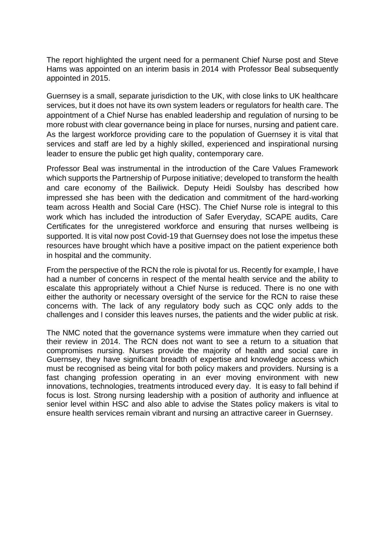The report highlighted the urgent need for a permanent Chief Nurse post and Steve Hams was appointed on an interim basis in 2014 with Professor Beal subsequently appointed in 2015.

Guernsey is a small, separate jurisdiction to the UK, with close links to UK healthcare services, but it does not have its own system leaders or regulators for health care. The appointment of a Chief Nurse has enabled leadership and regulation of nursing to be more robust with clear governance being in place for nurses, nursing and patient care. As the largest workforce providing care to the population of Guernsey it is vital that services and staff are led by a highly skilled, experienced and inspirational nursing leader to ensure the public get high quality, contemporary care.

Professor Beal was instrumental in the introduction of the Care Values Framework which supports the Partnership of Purpose initiative; developed to transform the health and care economy of the Bailiwick. Deputy Heidi Soulsby has described how impressed she has been with the dedication and commitment of the hard-working team across Health and Social Care (HSC). The Chief Nurse role is integral to this work which has included the introduction of Safer Everyday, SCAPE audits, Care Certificates for the unregistered workforce and ensuring that nurses wellbeing is supported. It is vital now post Covid-19 that Guernsey does not lose the impetus these resources have brought which have a positive impact on the patient experience both in hospital and the community.

From the perspective of the RCN the role is pivotal for us. Recently for example, I have had a number of concerns in respect of the mental health service and the ability to escalate this appropriately without a Chief Nurse is reduced. There is no one with either the authority or necessary oversight of the service for the RCN to raise these concerns with. The lack of any regulatory body such as CQC only adds to the challenges and I consider this leaves nurses, the patients and the wider public at risk.

The NMC noted that the governance systems were immature when they carried out their review in 2014. The RCN does not want to see a return to a situation that compromises nursing. Nurses provide the majority of health and social care in Guernsey, they have significant breadth of expertise and knowledge access which must be recognised as being vital for both policy makers and providers. Nursing is a fast changing profession operating in an ever moving environment with new innovations, technologies, treatments introduced every day. It is easy to fall behind if focus is lost. Strong nursing leadership with a position of authority and influence at senior level within HSC and also able to advise the States policy makers is vital to ensure health services remain vibrant and nursing an attractive career in Guernsey.